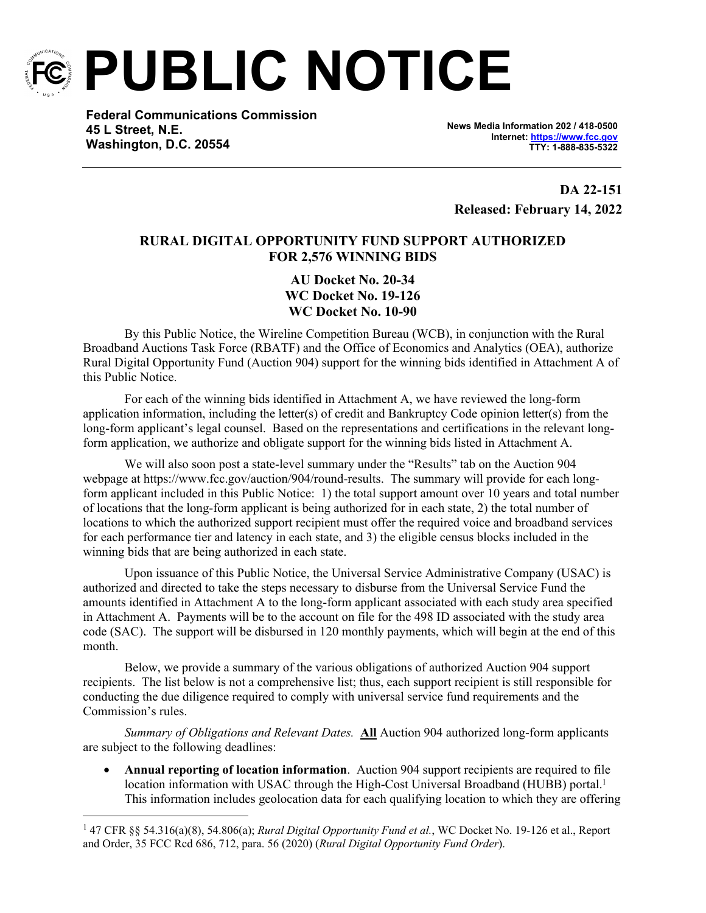

**PUBLIC NOTICE**

**Federal Communications Commission 45 L Street, N.E. Washington, D.C. 20554**

**News Media Information 202 / 418-0500 Internet:<https://www.fcc.gov> TTY: 1-888-835-5322**

**DA 22-151 Released: February 14, 2022**

## **RURAL DIGITAL OPPORTUNITY FUND SUPPORT AUTHORIZED FOR 2,576 WINNING BIDS**

**AU Docket No. 20-34 WC Docket No. 19-126 WC Docket No. 10-90**

By this Public Notice, the Wireline Competition Bureau (WCB), in conjunction with the Rural Broadband Auctions Task Force (RBATF) and the Office of Economics and Analytics (OEA), authorize Rural Digital Opportunity Fund (Auction 904) support for the winning bids identified in Attachment A of this Public Notice.

For each of the winning bids identified in Attachment A, we have reviewed the long-form application information, including the letter(s) of credit and Bankruptcy Code opinion letter(s) from the long-form applicant's legal counsel. Based on the representations and certifications in the relevant longform application, we authorize and obligate support for the winning bids listed in Attachment A.

We will also soon post a state-level summary under the "Results" tab on the Auction 904 webpage at https://www.fcc.gov/auction/904/round-results. The summary will provide for each longform applicant included in this Public Notice: 1) the total support amount over 10 years and total number of locations that the long-form applicant is being authorized for in each state, 2) the total number of locations to which the authorized support recipient must offer the required voice and broadband services for each performance tier and latency in each state, and 3) the eligible census blocks included in the winning bids that are being authorized in each state.

Upon issuance of this Public Notice, the Universal Service Administrative Company (USAC) is authorized and directed to take the steps necessary to disburse from the Universal Service Fund the amounts identified in Attachment A to the long-form applicant associated with each study area specified in Attachment A. Payments will be to the account on file for the 498 ID associated with the study area code (SAC). The support will be disbursed in 120 monthly payments, which will begin at the end of this month.

Below, we provide a summary of the various obligations of authorized Auction 904 support recipients. The list below is not a comprehensive list; thus, each support recipient is still responsible for conducting the due diligence required to comply with universal service fund requirements and the Commission's rules.

*Summary of Obligations and Relevant Dates.* **All** Auction 904 authorized long-form applicants are subject to the following deadlines:

 **Annual reporting of location information**. Auction 904 support recipients are required to file location information with USAC through the High-Cost Universal Broadband (HUBB) portal.<sup>1</sup> This information includes geolocation data for each qualifying location to which they are offering

<sup>1</sup> 47 CFR §§ 54.316(a)(8), 54.806(a); *Rural Digital Opportunity Fund et al.*, WC Docket No. 19-126 et al., Report and Order, 35 FCC Rcd 686, 712, para. 56 (2020) (*Rural Digital Opportunity Fund Order*).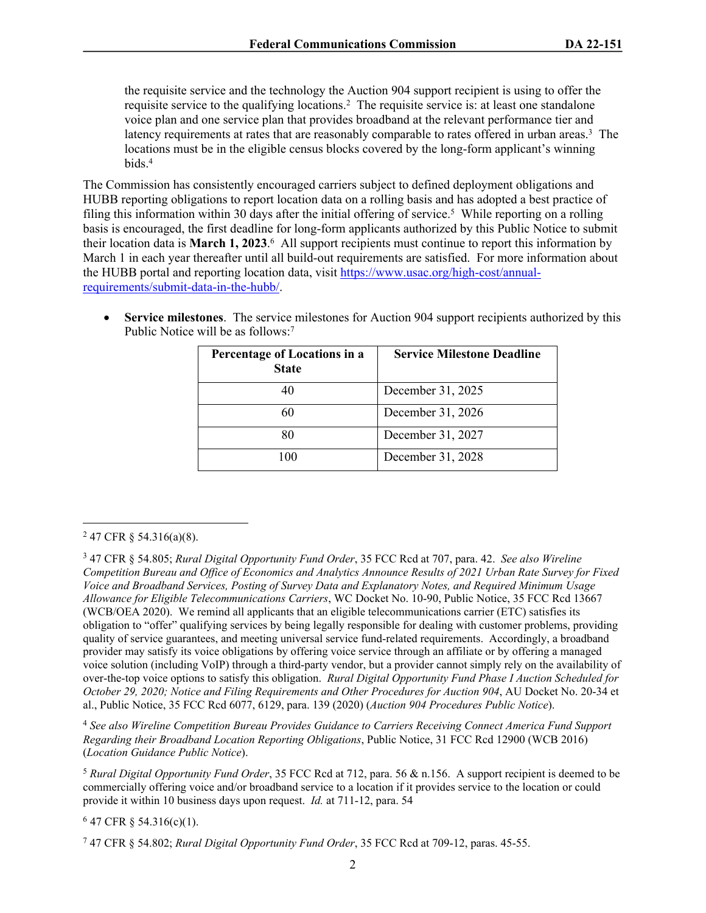the requisite service and the technology the Auction 904 support recipient is using to offer the requisite service to the qualifying locations.<sup>2</sup> The requisite service is: at least one standalone voice plan and one service plan that provides broadband at the relevant performance tier and latency requirements at rates that are reasonably comparable to rates offered in urban areas.<sup>3</sup> The locations must be in the eligible census blocks covered by the long-form applicant's winning bids.<sup>4</sup>

The Commission has consistently encouraged carriers subject to defined deployment obligations and HUBB reporting obligations to report location data on a rolling basis and has adopted a best practice of filing this information within 30 days after the initial offering of service.<sup>5</sup> While reporting on a rolling basis is encouraged, the first deadline for long-form applicants authorized by this Public Notice to submit their location data is **March 1, 2023**. 6 All support recipients must continue to report this information by March 1 in each year thereafter until all build-out requirements are satisfied. For more information about the HUBB portal and reporting location data, visit [https://www.usac.org/high-cost/annual](https://www.usac.org/high-cost/annual-requirements/submit-data-in-the-hubb/)[requirements/submit-data-in-the-hubb/](https://www.usac.org/high-cost/annual-requirements/submit-data-in-the-hubb/).

 **Service milestones**. The service milestones for Auction 904 support recipients authorized by this Public Notice will be as follows:<sup>7</sup>

| Percentage of Locations in a<br><b>State</b> | <b>Service Milestone Deadline</b> |
|----------------------------------------------|-----------------------------------|
| 40                                           | December 31, 2025                 |
| 60                                           | December 31, 2026                 |
|                                              | December 31, 2027                 |
| 100                                          | December 31, 2028                 |

<sup>4</sup> *See also Wireline Competition Bureau Provides Guidance to Carriers Receiving Connect America Fund Support Regarding their Broadband Location Reporting Obligations*, Public Notice, 31 FCC Rcd 12900 (WCB 2016) (*Location Guidance Public Notice*).

<sup>5</sup> *Rural Digital Opportunity Fund Order*, 35 FCC Rcd at 712, para. 56 & n.156. A support recipient is deemed to be commercially offering voice and/or broadband service to a location if it provides service to the location or could provide it within 10 business days upon request. *Id.* at 711-12, para. 54

 $647$  CFR § 54.316(c)(1).

 $247$  CFR § 54.316(a)(8).

<sup>3</sup> 47 CFR § 54.805; *Rural Digital Opportunity Fund Order*, 35 FCC Rcd at 707, para. 42. *See also Wireline Competition Bureau and Office of Economics and Analytics Announce Results of 2021 Urban Rate Survey for Fixed Voice and Broadband Services, Posting of Survey Data and Explanatory Notes, and Required Minimum Usage Allowance for Eligible Telecommunications Carriers*, WC Docket No. 10-90, Public Notice, 35 FCC Rcd 13667 (WCB/OEA 2020). We remind all applicants that an eligible telecommunications carrier (ETC) satisfies its obligation to "offer" qualifying services by being legally responsible for dealing with customer problems, providing quality of service guarantees, and meeting universal service fund-related requirements. Accordingly, a broadband provider may satisfy its voice obligations by offering voice service through an affiliate or by offering a managed voice solution (including VoIP) through a third-party vendor, but a provider cannot simply rely on the availability of over-the-top voice options to satisfy this obligation. *Rural Digital Opportunity Fund Phase I Auction Scheduled for October 29, 2020; Notice and Filing Requirements and Other Procedures for Auction 904*, AU Docket No. 20-34 et al., Public Notice, 35 FCC Rcd 6077, 6129, para. 139 (2020) (*Auction 904 Procedures Public Notice*).

<sup>7</sup> 47 CFR § 54.802; *Rural Digital Opportunity Fund Order*, 35 FCC Rcd at 709-12, paras. 45-55.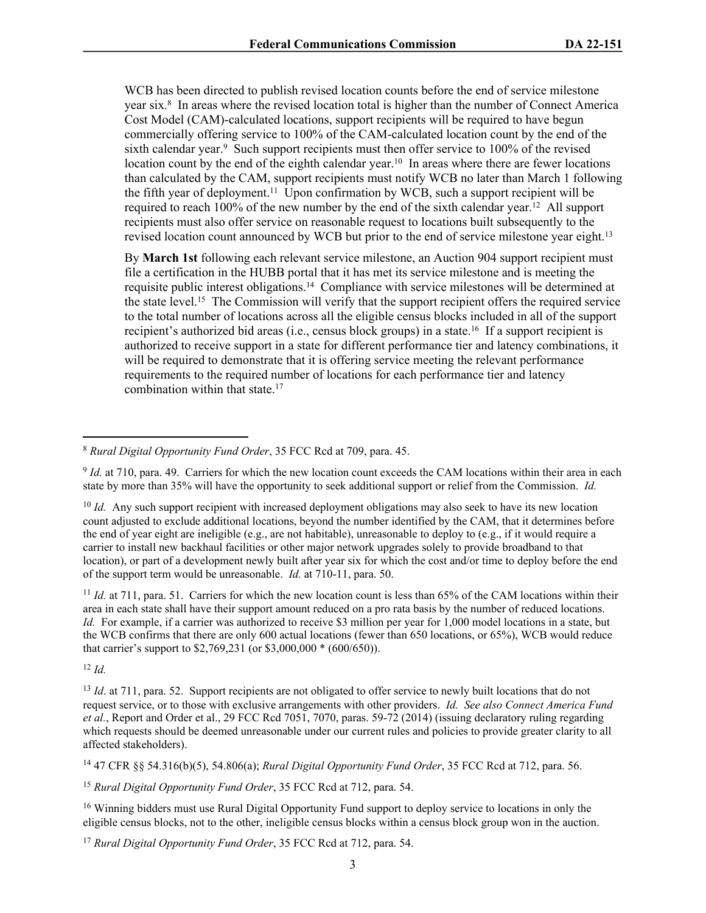WCB has been directed to publish revised location counts before the end of service milestone year six.<sup>8</sup> In areas where the revised location total is higher than the number of Connect America Cost Model (CAM)-calculated locations, support recipients will be required to have begun commercially offering service to 100% of the CAM-calculated location count by the end of the sixth calendar year.<sup>9</sup> Such support recipients must then offer service to 100% of the revised location count by the end of the eighth calendar year.<sup>10</sup> In areas where there are fewer locations than calculated by the CAM, support recipients must notify WCB no later than March 1 following the fifth year of deployment.<sup>11</sup> Upon confirmation by WCB, such a support recipient will be required to reach  $100\%$  of the new number by the end of the sixth calendar year.<sup>12</sup> All support recipients must also offer service on reasonable request to locations built subsequently to the revised location count announced by WCB but prior to the end of service milestone year eight.<sup>13</sup>

By **March 1st** following each relevant service milestone, an Auction 904 support recipient must file a certification in the HUBB portal that it has met its service milestone and is meeting the requisite public interest obligations.<sup>14</sup> Compliance with service milestones will be determined at the state level.<sup>15</sup> The Commission will verify that the support recipient offers the required service to the total number of locations across all the eligible census blocks included in all of the support recipient's authorized bid areas (i.e., census block groups) in a state.<sup>16</sup> If a support recipient is authorized to receive support in a state for different performance tier and latency combinations, it will be required to demonstrate that it is offering service meeting the relevant performance requirements to the required number of locations for each performance tier and latency combination within that state.<sup>17</sup>

<sup>9</sup> *Id.* at 710, para. 49. Carriers for which the new location count exceeds the CAM locations within their area in each state by more than 35% will have the opportunity to seek additional support or relief from the Commission. *Id.*

<sup>10</sup> *Id.* Any such support recipient with increased deployment obligations may also seek to have its new location count adjusted to exclude additional locations, beyond the number identified by the CAM, that it determines before the end of year eight are ineligible (e.g., are not habitable), unreasonable to deploy to (e.g., if it would require a carrier to install new backhaul facilities or other major network upgrades solely to provide broadband to that location), or part of a development newly built after year six for which the cost and/or time to deploy before the end of the support term would be unreasonable. *Id.* at 710-11, para. 50.

<sup>11</sup> *Id.* at 711, para. 51. Carriers for which the new location count is less than 65% of the CAM locations within their area in each state shall have their support amount reduced on a pro rata basis by the number of reduced locations. *Id.* For example, if a carrier was authorized to receive \$3 million per year for 1,000 model locations in a state, but the WCB confirms that there are only 600 actual locations (fewer than 650 locations, or 65%), WCB would reduce that carrier's support to \$2,769,231 (or \$3,000,000 \* (600/650)).

<sup>12</sup> *Id.*

<sup>13</sup> *Id.* at 711, para. 52. Support recipients are not obligated to offer service to newly built locations that do not request service, or to those with exclusive arrangements with other providers. *Id. See also Connect America Fund et al.*, Report and Order et al., 29 FCC Rcd 7051, 7070, paras. 59-72 (2014) (issuing declaratory ruling regarding which requests should be deemed unreasonable under our current rules and policies to provide greater clarity to all affected stakeholders).

<sup>14</sup> 47 CFR §§ 54.316(b)(5), 54.806(a); *Rural Digital Opportunity Fund Order*, 35 FCC Rcd at 712, para. 56.

<sup>15</sup> *Rural Digital Opportunity Fund Order*, 35 FCC Rcd at 712, para. 54.

<sup>16</sup> Winning bidders must use Rural Digital Opportunity Fund support to deploy service to locations in only the eligible census blocks, not to the other, ineligible census blocks within a census block group won in the auction.

<sup>17</sup> *Rural Digital Opportunity Fund Order*, 35 FCC Rcd at 712, para. 54.

<sup>8</sup> *Rural Digital Opportunity Fund Order*, 35 FCC Rcd at 709, para. 45.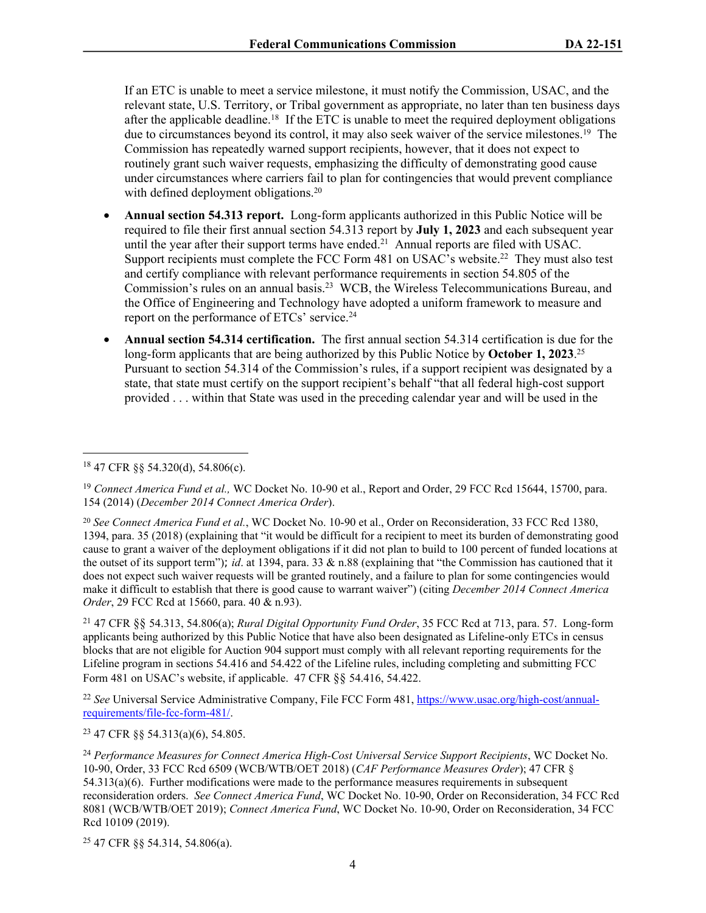If an ETC is unable to meet a service milestone, it must notify the Commission, USAC, and the relevant state, U.S. Territory, or Tribal government as appropriate, no later than ten business days after the applicable deadline.<sup>18</sup> If the ETC is unable to meet the required deployment obligations due to circumstances beyond its control, it may also seek waiver of the service milestones.<sup>19</sup> The Commission has repeatedly warned support recipients, however, that it does not expect to routinely grant such waiver requests, emphasizing the difficulty of demonstrating good cause under circumstances where carriers fail to plan for contingencies that would prevent compliance with defined deployment obligations.<sup>20</sup>

- **Annual section 54.313 report.** Long-form applicants authorized in this Public Notice will be required to file their first annual section 54.313 report by **July 1, 2023** and each subsequent year until the year after their support terms have ended.<sup>21</sup> Annual reports are filed with USAC. Support recipients must complete the FCC Form 481 on USAC's website.<sup>22</sup> They must also test and certify compliance with relevant performance requirements in section 54.805 of the Commission's rules on an annual basis.<sup>23</sup> WCB, the Wireless Telecommunications Bureau, and the Office of Engineering and Technology have adopted a uniform framework to measure and report on the performance of ETCs' service.<sup>24</sup>
- **Annual section 54.314 certification.** The first annual section 54.314 certification is due for the long-form applicants that are being authorized by this Public Notice by **October 1, 2023**. 25 Pursuant to section 54.314 of the Commission's rules, if a support recipient was designated by a state, that state must certify on the support recipient's behalf "that all federal high-cost support provided . . . within that State was used in the preceding calendar year and will be used in the

<sup>21</sup> 47 CFR §§ 54.313, 54.806(a); *Rural Digital Opportunity Fund Order*, 35 FCC Rcd at 713, para. 57. Long-form applicants being authorized by this Public Notice that have also been designated as Lifeline-only ETCs in census blocks that are not eligible for Auction 904 support must comply with all relevant reporting requirements for the Lifeline program in sections 54.416 and 54.422 of the Lifeline rules, including completing and submitting FCC Form 481 on USAC's website, if applicable. 47 CFR §§ 54.416, 54.422.

<sup>22</sup> *See* Universal Service Administrative Company, File FCC Form 481, [https://www.usac.org/high-cost/annual](https://www.usac.org/high-cost/annual-requirements/file-fcc-form-481/)[requirements/file-fcc-form-481/.](https://www.usac.org/high-cost/annual-requirements/file-fcc-form-481/)

<sup>23</sup> 47 CFR §§ 54.313(a)(6), 54.805.

25 47 CFR §§ 54.314, 54.806(a).

<sup>18</sup> 47 CFR §§ 54.320(d), 54.806(c).

<sup>&</sup>lt;sup>19</sup> Connect America Fund et al., WC Docket No. 10-90 et al., Report and Order, 29 FCC Rcd 15644, 15700, para. 154 (2014) (*December 2014 Connect America Order*).

<sup>20</sup> *See Connect America Fund et al.*, WC Docket No. 10-90 et al., Order on Reconsideration, 33 FCC Rcd 1380, 1394, para. 35 (2018) (explaining that "it would be difficult for a recipient to meet its burden of demonstrating good cause to grant a waiver of the deployment obligations if it did not plan to build to 100 percent of funded locations at the outset of its support term"); *id*. at 1394, para. 33 & n.88 (explaining that "the Commission has cautioned that it does not expect such waiver requests will be granted routinely, and a failure to plan for some contingencies would make it difficult to establish that there is good cause to warrant waiver") (citing *December 2014 Connect America Order*, 29 FCC Rcd at 15660, para. 40 & n.93).

<sup>24</sup> *Performance Measures for Connect America High-Cost Universal Service Support Recipients*, WC Docket No. 10-90, Order, 33 FCC Rcd 6509 (WCB/WTB/OET 2018) (*CAF Performance Measures Order*); 47 CFR § 54.313(a)(6). Further modifications were made to the performance measures requirements in subsequent reconsideration orders. *See Connect America Fund*, WC Docket No. 10-90, Order on Reconsideration, 34 FCC Rcd 8081 (WCB/WTB/OET 2019); *Connect America Fund*, WC Docket No. 10-90, Order on Reconsideration, 34 FCC Rcd 10109 (2019).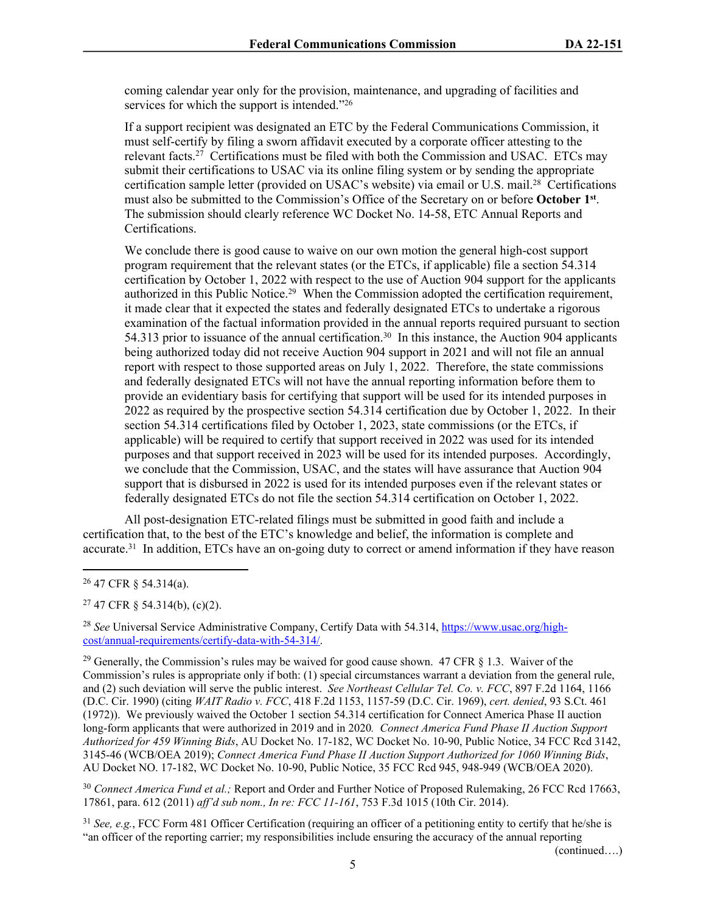coming calendar year only for the provision, maintenance, and upgrading of facilities and services for which the support is intended."26

If a support recipient was designated an ETC by the Federal Communications Commission, it must self-certify by filing a sworn affidavit executed by a corporate officer attesting to the relevant facts.<sup>27</sup> Certifications must be filed with both the Commission and USAC. ETCs may submit their certifications to USAC via its online filing system or by sending the appropriate certification sample letter (provided on USAC's website) via email or U.S. mail.<sup>28</sup> Certifications must also be submitted to the Commission's Office of the Secretary on or before **October 1st** . The submission should clearly reference WC Docket No. 14-58, ETC Annual Reports and Certifications.

We conclude there is good cause to waive on our own motion the general high-cost support program requirement that the relevant states (or the ETCs, if applicable) file a section 54.314 certification by October 1, 2022 with respect to the use of Auction 904 support for the applicants authorized in this Public Notice.<sup>29</sup> When the Commission adopted the certification requirement, it made clear that it expected the states and federally designated ETCs to undertake a rigorous examination of the factual information provided in the annual reports required pursuant to section 54.313 prior to issuance of the annual certification.<sup>30</sup> In this instance, the Auction 904 applicants being authorized today did not receive Auction 904 support in 2021 and will not file an annual report with respect to those supported areas on July 1, 2022. Therefore, the state commissions and federally designated ETCs will not have the annual reporting information before them to provide an evidentiary basis for certifying that support will be used for its intended purposes in 2022 as required by the prospective section 54.314 certification due by October 1, 2022. In their section 54.314 certifications filed by October 1, 2023, state commissions (or the ETCs, if applicable) will be required to certify that support received in 2022 was used for its intended purposes and that support received in 2023 will be used for its intended purposes. Accordingly, we conclude that the Commission, USAC, and the states will have assurance that Auction 904 support that is disbursed in 2022 is used for its intended purposes even if the relevant states or federally designated ETCs do not file the section 54.314 certification on October 1, 2022.

All post-designation ETC-related filings must be submitted in good faith and include a certification that, to the best of the ETC's knowledge and belief, the information is complete and accurate.<sup>31</sup> In addition, ETCs have an on-going duty to correct or amend information if they have reason

 $27$  47 CFR § 54.314(b), (c)(2).

<sup>28</sup> *See* Universal Service Administrative Company, Certify Data with 54.314, [https://www.usac.org/high](https://www.usac.org/high-cost/annual-requirements/certify-data-with-54-314/)[cost/annual-requirements/certify-data-with-54-314/](https://www.usac.org/high-cost/annual-requirements/certify-data-with-54-314/).

<sup>29</sup> Generally, the Commission's rules may be waived for good cause shown. 47 CFR  $\S$  1.3. Waiver of the Commission's rules is appropriate only if both: (1) special circumstances warrant a deviation from the general rule, and (2) such deviation will serve the public interest. *See Northeast Cellular Tel. Co. v. FCC*, 897 F.2d 1164, 1166 (D.C. Cir. 1990) (citing *WAIT Radio v. FCC*, 418 F.2d 1153, 1157-59 (D.C. Cir. 1969), *cert. denied*, 93 S.Ct. 461 (1972)). We previously waived the October 1 section 54.314 certification for Connect America Phase II auction long-form applicants that were authorized in 2019 and in 2020*. Connect America Fund Phase II Auction Support Authorized for 459 Winning Bids*, AU Docket No. 17-182, WC Docket No. 10-90, Public Notice, 34 FCC Rcd 3142, 3145-46 (WCB/OEA 2019); *Connect America Fund Phase II Auction Support Authorized for 1060 Winning Bids*, AU Docket NO. 17-182, WC Docket No. 10-90, Public Notice, 35 FCC Rcd 945, 948-949 (WCB/OEA 2020).

<sup>30</sup> *Connect America Fund et al.;* Report and Order and Further Notice of Proposed Rulemaking, 26 FCC Rcd 17663, 17861, para. 612 (2011) *aff'd sub nom., In re: FCC 11-161*, 753 F.3d 1015 (10th Cir. 2014).

<sup>31</sup> *See, e.g.*, FCC Form 481 Officer Certification (requiring an officer of a petitioning entity to certify that he/she is "an officer of the reporting carrier; my responsibilities include ensuring the accuracy of the annual reporting

(continued….)

<sup>26</sup> 47 CFR § 54.314(a).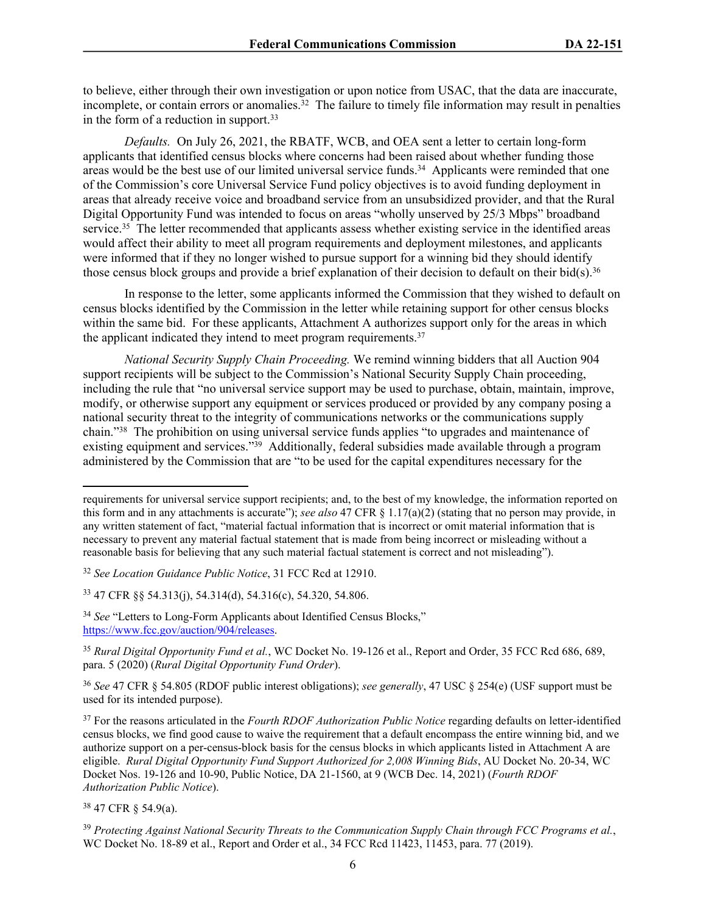to believe, either through their own investigation or upon notice from USAC, that the data are inaccurate, incomplete, or contain errors or anomalies. $32$  The failure to timely file information may result in penalties in the form of a reduction in support.<sup>33</sup>

*Defaults.* On July 26, 2021, the RBATF, WCB, and OEA sent a letter to certain long-form applicants that identified census blocks where concerns had been raised about whether funding those areas would be the best use of our limited universal service funds.<sup>34</sup> Applicants were reminded that one of the Commission's core Universal Service Fund policy objectives is to avoid funding deployment in areas that already receive voice and broadband service from an unsubsidized provider, and that the Rural Digital Opportunity Fund was intended to focus on areas "wholly unserved by 25/3 Mbps" broadband service.<sup>35</sup> The letter recommended that applicants assess whether existing service in the identified areas would affect their ability to meet all program requirements and deployment milestones, and applicants were informed that if they no longer wished to pursue support for a winning bid they should identify those census block groups and provide a brief explanation of their decision to default on their bid(s).<sup>36</sup>

In response to the letter, some applicants informed the Commission that they wished to default on census blocks identified by the Commission in the letter while retaining support for other census blocks within the same bid. For these applicants, Attachment A authorizes support only for the areas in which the applicant indicated they intend to meet program requirements.<sup>37</sup>

*National Security Supply Chain Proceeding.* We remind winning bidders that all Auction 904 support recipients will be subject to the Commission's National Security Supply Chain proceeding, including the rule that "no universal service support may be used to purchase, obtain, maintain, improve, modify, or otherwise support any equipment or services produced or provided by any company posing a national security threat to the integrity of communications networks or the communications supply chain."<sup>38</sup> The prohibition on using universal service funds applies "to upgrades and maintenance of existing equipment and services."<sup>39</sup> Additionally, federal subsidies made available through a program administered by the Commission that are "to be used for the capital expenditures necessary for the

<sup>33</sup> 47 CFR §§ 54.313(j), 54.314(d), 54.316(c), 54.320, 54.806.

<sup>36</sup> *See* 47 CFR § 54.805 (RDOF public interest obligations); *see generally*, 47 USC § 254(e) (USF support must be used for its intended purpose).

<sup>37</sup> For the reasons articulated in the *Fourth RDOF Authorization Public Notice* regarding defaults on letter-identified census blocks, we find good cause to waive the requirement that a default encompass the entire winning bid, and we authorize support on a per-census-block basis for the census blocks in which applicants listed in Attachment A are eligible. *Rural Digital Opportunity Fund Support Authorized for 2,008 Winning Bids*, AU Docket No. 20-34, WC Docket Nos. 19-126 and 10-90, Public Notice, DA 21-1560, at 9 (WCB Dec. 14, 2021) (*Fourth RDOF Authorization Public Notice*).

<sup>38</sup> 47 CFR § 54.9(a).

requirements for universal service support recipients; and, to the best of my knowledge, the information reported on this form and in any attachments is accurate"); *see also* 47 CFR § 1.17(a)(2) (stating that no person may provide, in any written statement of fact, "material factual information that is incorrect or omit material information that is necessary to prevent any material factual statement that is made from being incorrect or misleading without a reasonable basis for believing that any such material factual statement is correct and not misleading").

<sup>32</sup> *See Location Guidance Public Notice*, 31 FCC Rcd at 12910.

<sup>&</sup>lt;sup>34</sup> See "Letters to Long-Form Applicants about Identified Census Blocks," <https://www.fcc.gov/auction/904/releases>.

<sup>35</sup> *Rural Digital Opportunity Fund et al.*, WC Docket No. 19-126 et al., Report and Order, 35 FCC Rcd 686, 689, para. 5 (2020) (*Rural Digital Opportunity Fund Order*).

<sup>39</sup> *Protecting Against National Security Threats to the Communication Supply Chain through FCC Programs et al.*, WC Docket No. 18-89 et al., Report and Order et al., 34 FCC Rcd 11423, 11453, para. 77 (2019).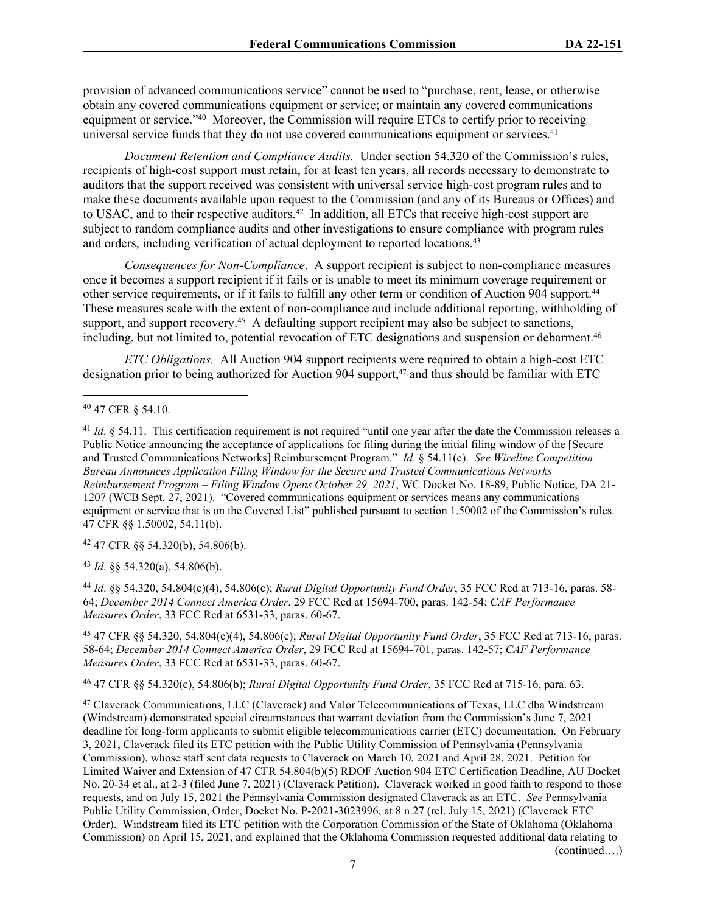provision of advanced communications service" cannot be used to "purchase, rent, lease, or otherwise obtain any covered communications equipment or service; or maintain any covered communications equipment or service."<sup>40</sup> Moreover, the Commission will require ETCs to certify prior to receiving universal service funds that they do not use covered communications equipment or services.<sup>41</sup>

*Document Retention and Compliance Audits.* Under section 54.320 of the Commission's rules, recipients of high-cost support must retain, for at least ten years, all records necessary to demonstrate to auditors that the support received was consistent with universal service high-cost program rules and to make these documents available upon request to the Commission (and any of its Bureaus or Offices) and to USAC, and to their respective auditors.<sup>42</sup> In addition, all ETCs that receive high-cost support are subject to random compliance audits and other investigations to ensure compliance with program rules and orders, including verification of actual deployment to reported locations.<sup>43</sup>

*Consequences for Non-Compliance*. A support recipient is subject to non-compliance measures once it becomes a support recipient if it fails or is unable to meet its minimum coverage requirement or other service requirements, or if it fails to fulfill any other term or condition of Auction 904 support.<sup>44</sup> These measures scale with the extent of non-compliance and include additional reporting, withholding of support, and support recovery.<sup>45</sup> A defaulting support recipient may also be subject to sanctions, including, but not limited to, potential revocation of ETC designations and suspension or debarment.<sup>46</sup>

*ETC Obligations.* All Auction 904 support recipients were required to obtain a high-cost ETC designation prior to being authorized for Auction 904 support,<sup>47</sup> and thus should be familiar with ETC

<sup>42</sup> 47 CFR §§ 54.320(b), 54.806(b).

<sup>43</sup> *Id*. §§ 54.320(a), 54.806(b).

<sup>44</sup> *Id*. §§ 54.320, 54.804(c)(4), 54.806(c); *Rural Digital Opportunity Fund Order*, 35 FCC Rcd at 713-16, paras. 58- 64; *December 2014 Connect America Order*, 29 FCC Rcd at 15694-700, paras. 142-54; *CAF Performance Measures Order*, 33 FCC Rcd at 6531-33, paras. 60-67.

<sup>45</sup> 47 CFR §§ 54.320, 54.804(c)(4), 54.806(c); *Rural Digital Opportunity Fund Order*, 35 FCC Rcd at 713-16, paras. 58-64; *December 2014 Connect America Order*, 29 FCC Rcd at 15694-701, paras. 142-57; *CAF Performance Measures Order*, 33 FCC Rcd at 6531-33, paras. 60-67.

<sup>46</sup> 47 CFR §§ 54.320(c), 54.806(b); *Rural Digital Opportunity Fund Order*, 35 FCC Rcd at 715-16, para. 63.

<sup>47</sup> Claverack Communications, LLC (Claverack) and Valor Telecommunications of Texas, LLC dba Windstream (Windstream) demonstrated special circumstances that warrant deviation from the Commission's June 7, 2021 deadline for long-form applicants to submit eligible telecommunications carrier (ETC) documentation. On February 3, 2021, Claverack filed its ETC petition with the Public Utility Commission of Pennsylvania (Pennsylvania Commission), whose staff sent data requests to Claverack on March 10, 2021 and April 28, 2021. Petition for Limited Waiver and Extension of 47 CFR 54.804(b)(5) RDOF Auction 904 ETC Certification Deadline, AU Docket No. 20-34 et al., at 2-3 (filed June 7, 2021) (Claverack Petition). Claverack worked in good faith to respond to those requests, and on July 15, 2021 the Pennsylvania Commission designated Claverack as an ETC. *See* Pennsylvania Public Utility Commission, Order, Docket No. P-2021-3023996, at 8 n.27 (rel. July 15, 2021) (Claverack ETC Order). Windstream filed its ETC petition with the Corporation Commission of the State of Oklahoma (Oklahoma Commission) on April 15, 2021, and explained that the Oklahoma Commission requested additional data relating to (continued….)

<sup>40</sup> 47 CFR § 54.10.

<sup>&</sup>lt;sup>41</sup> *Id.* § 54.11. This certification requirement is not required "until one year after the date the Commission releases a Public Notice announcing the acceptance of applications for filing during the initial filing window of the [Secure and Trusted Communications Networks] Reimbursement Program." *Id*. § 54.11(c). *See Wireline Competition Bureau Announces Application Filing Window for the Secure and Trusted Communications Networks Reimbursement Program – Filing Window Opens October 29, 2021*, WC Docket No. 18-89, Public Notice, DA 21- 1207 (WCB Sept. 27, 2021). "Covered communications equipment or services means any communications equipment or service that is on the Covered List" published pursuant to section 1.50002 of the Commission's rules. 47 CFR §§ 1.50002, 54.11(b).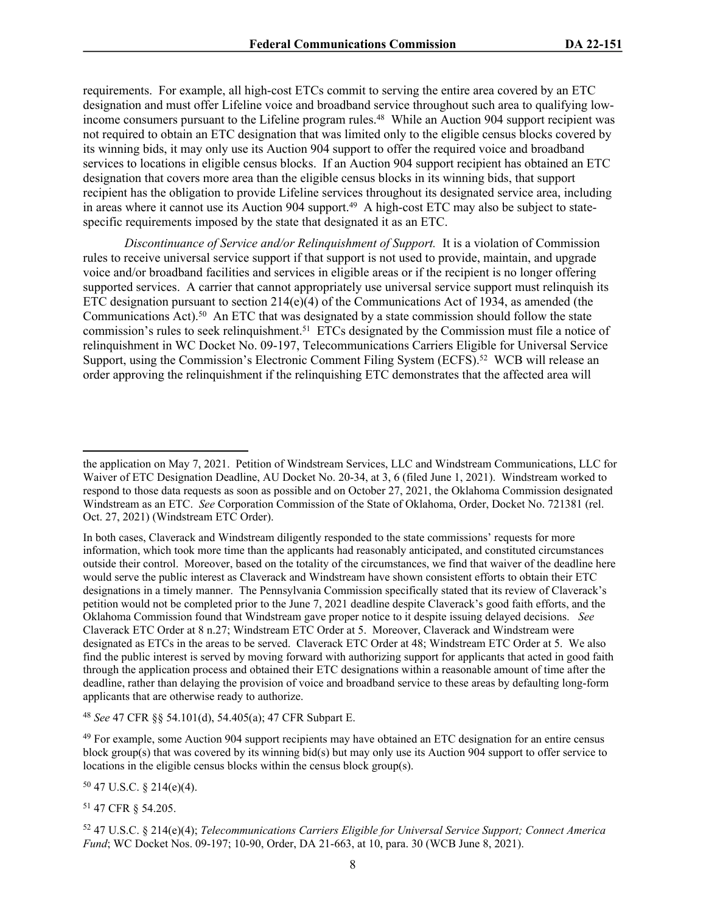requirements. For example, all high-cost ETCs commit to serving the entire area covered by an ETC designation and must offer Lifeline voice and broadband service throughout such area to qualifying lowincome consumers pursuant to the Lifeline program rules.<sup>48</sup> While an Auction 904 support recipient was not required to obtain an ETC designation that was limited only to the eligible census blocks covered by its winning bids, it may only use its Auction 904 support to offer the required voice and broadband services to locations in eligible census blocks. If an Auction 904 support recipient has obtained an ETC designation that covers more area than the eligible census blocks in its winning bids, that support recipient has the obligation to provide Lifeline services throughout its designated service area, including in areas where it cannot use its Auction 904 support.<sup>49</sup> A high-cost ETC may also be subject to statespecific requirements imposed by the state that designated it as an ETC.

*Discontinuance of Service and/or Relinquishment of Support.* It is a violation of Commission rules to receive universal service support if that support is not used to provide, maintain, and upgrade voice and/or broadband facilities and services in eligible areas or if the recipient is no longer offering supported services. A carrier that cannot appropriately use universal service support must relinquish its ETC designation pursuant to section  $214(e)(4)$  of the Communications Act of 1934, as amended (the Communications Act).<sup>50</sup> An ETC that was designated by a state commission should follow the state commission's rules to seek relinquishment.<sup>51</sup> ETCs designated by the Commission must file a notice of relinquishment in WC Docket No. 09-197, Telecommunications Carriers Eligible for Universal Service Support, using the Commission's Electronic Comment Filing System (ECFS).<sup>52</sup> WCB will release an order approving the relinquishment if the relinquishing ETC demonstrates that the affected area will

<sup>48</sup> *See* 47 CFR §§ 54.101(d), 54.405(a); 47 CFR Subpart E.

<sup>50</sup> 47 U.S.C. § 214(e)(4).

<sup>51</sup> 47 CFR § 54.205.

the application on May 7, 2021. Petition of Windstream Services, LLC and Windstream Communications, LLC for Waiver of ETC Designation Deadline, AU Docket No. 20-34, at 3, 6 (filed June 1, 2021). Windstream worked to respond to those data requests as soon as possible and on October 27, 2021, the Oklahoma Commission designated Windstream as an ETC. *See* Corporation Commission of the State of Oklahoma, Order, Docket No. 721381 (rel. Oct. 27, 2021) (Windstream ETC Order).

In both cases, Claverack and Windstream diligently responded to the state commissions' requests for more information, which took more time than the applicants had reasonably anticipated, and constituted circumstances outside their control. Moreover, based on the totality of the circumstances, we find that waiver of the deadline here would serve the public interest as Claverack and Windstream have shown consistent efforts to obtain their ETC designations in a timely manner. The Pennsylvania Commission specifically stated that its review of Claverack's petition would not be completed prior to the June 7, 2021 deadline despite Claverack's good faith efforts, and the Oklahoma Commission found that Windstream gave proper notice to it despite issuing delayed decisions. *See* Claverack ETC Order at 8 n.27; Windstream ETC Order at 5. Moreover, Claverack and Windstream were designated as ETCs in the areas to be served. Claverack ETC Order at 48; Windstream ETC Order at 5. We also find the public interest is served by moving forward with authorizing support for applicants that acted in good faith through the application process and obtained their ETC designations within a reasonable amount of time after the deadline, rather than delaying the provision of voice and broadband service to these areas by defaulting long-form applicants that are otherwise ready to authorize.

<sup>&</sup>lt;sup>49</sup> For example, some Auction 904 support recipients may have obtained an ETC designation for an entire census block group(s) that was covered by its winning bid(s) but may only use its Auction 904 support to offer service to locations in the eligible census blocks within the census block group(s).

<sup>52</sup> 47 U.S.C. § 214(e)(4); *Telecommunications Carriers Eligible for Universal Service Support; Connect America Fund*; WC Docket Nos. 09-197; 10-90, Order, DA 21-663, at 10, para. 30 (WCB June 8, 2021).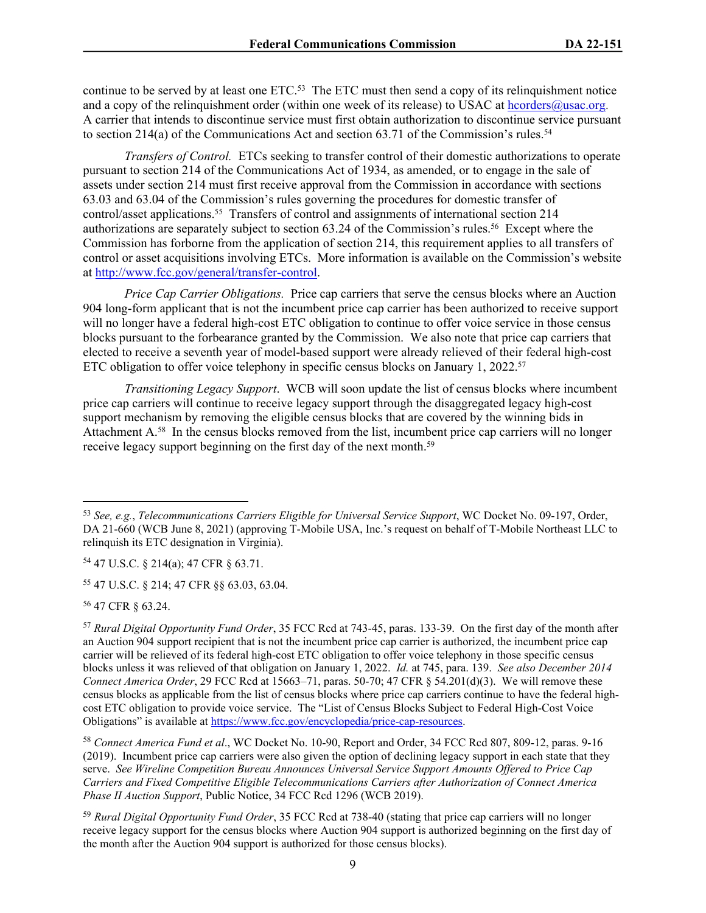continue to be served by at least one ETC.<sup>53</sup> The ETC must then send a copy of its relinquishment notice and a copy of the relinquishment order (within one week of its release) to USAC at [hcorders@usac.org](mailto:hcorders@usac.org). A carrier that intends to discontinue service must first obtain authorization to discontinue service pursuant to section 214(a) of the Communications Act and section 63.71 of the Commission's rules.<sup>54</sup>

*Transfers of Control.* ETCs seeking to transfer control of their domestic authorizations to operate pursuant to section 214 of the Communications Act of 1934, as amended, or to engage in the sale of assets under section 214 must first receive approval from the Commission in accordance with sections 63.03 and 63.04 of the Commission's rules governing the procedures for domestic transfer of control/asset applications.<sup>55</sup> Transfers of control and assignments of international section 214 authorizations are separately subject to section 63.24 of the Commission's rules.<sup>56</sup> Except where the Commission has forborne from the application of section 214, this requirement applies to all transfers of control or asset acquisitions involving ETCs. More information is available on the Commission's website at <http://www.fcc.gov/general/transfer-control>.

*Price Cap Carrier Obligations.* Price cap carriers that serve the census blocks where an Auction 904 long-form applicant that is not the incumbent price cap carrier has been authorized to receive support will no longer have a federal high-cost ETC obligation to continue to offer voice service in those census blocks pursuant to the forbearance granted by the Commission. We also note that price cap carriers that elected to receive a seventh year of model-based support were already relieved of their federal high-cost ETC obligation to offer voice telephony in specific census blocks on January 1, 2022.<sup>57</sup>

*Transitioning Legacy Support*. WCB will soon update the list of census blocks where incumbent price cap carriers will continue to receive legacy support through the disaggregated legacy high-cost support mechanism by removing the eligible census blocks that are covered by the winning bids in Attachment A.<sup>58</sup> In the census blocks removed from the list, incumbent price cap carriers will no longer receive legacy support beginning on the first day of the next month.<sup>59</sup>

<sup>54</sup> 47 U.S.C. § 214(a); 47 CFR § 63.71.

<sup>55</sup> 47 U.S.C. § 214; 47 CFR §§ 63.03, 63.04.

<sup>56</sup> 47 CFR § 63.24.

<sup>58</sup> *Connect America Fund et al*., WC Docket No. 10-90, Report and Order, 34 FCC Rcd 807, 809-12, paras. 9-16 (2019). Incumbent price cap carriers were also given the option of declining legacy support in each state that they serve. *See Wireline Competition Bureau Announces Universal Service Support Amounts Offered to Price Cap Carriers and Fixed Competitive Eligible Telecommunications Carriers after Authorization of Connect America Phase II Auction Support*, Public Notice, 34 FCC Rcd 1296 (WCB 2019).

<sup>59</sup> *Rural Digital Opportunity Fund Order*, 35 FCC Rcd at 738-40 (stating that price cap carriers will no longer receive legacy support for the census blocks where Auction 904 support is authorized beginning on the first day of the month after the Auction 904 support is authorized for those census blocks).

<sup>53</sup> *See, e.g.*, *Telecommunications Carriers Eligible for Universal Service Support*, WC Docket No. 09-197, Order, DA 21-660 (WCB June 8, 2021) (approving T-Mobile USA, Inc.'s request on behalf of T-Mobile Northeast LLC to relinquish its ETC designation in Virginia).

<sup>57</sup> *Rural Digital Opportunity Fund Order*, 35 FCC Rcd at 743-45, paras. 133-39. On the first day of the month after an Auction 904 support recipient that is not the incumbent price cap carrier is authorized, the incumbent price cap carrier will be relieved of its federal high-cost ETC obligation to offer voice telephony in those specific census blocks unless it was relieved of that obligation on January 1, 2022. *Id.* at 745, para. 139. *See also December 2014 Connect America Order*, 29 FCC Rcd at 15663–71, paras. 50-70; 47 CFR § 54.201(d)(3). We will remove these census blocks as applicable from the list of census blocks where price cap carriers continue to have the federal highcost ETC obligation to provide voice service. The "List of Census Blocks Subject to Federal High-Cost Voice Obligations" is available at<https://www.fcc.gov/encyclopedia/price-cap-resources>.